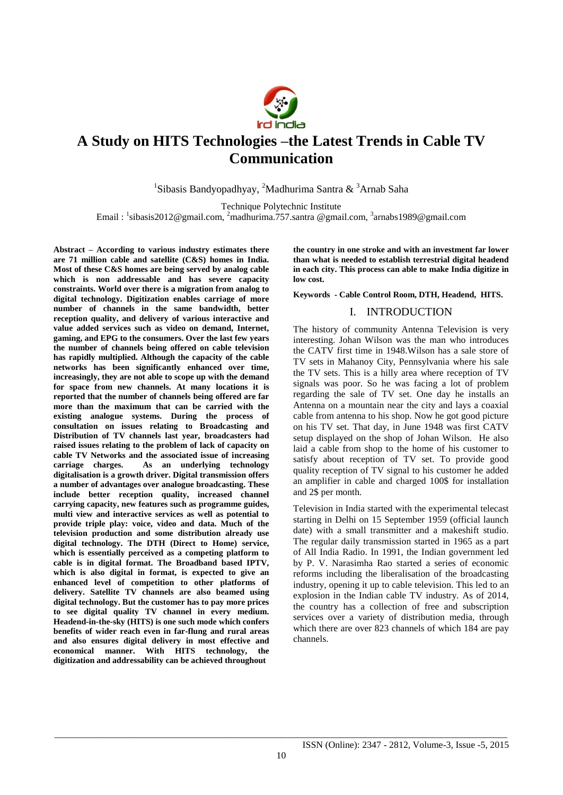

# **A Study on HITS Technologies –the Latest Trends in Cable TV Communication**

<sup>1</sup>Sibasis Bandyopadhyay, <sup>2</sup>Madhurima Santra & <sup>3</sup>Arnab Saha

Technique Polytechnic Institute

Email : <sup>1</sup>sibasis2012@gmail.com, <sup>2</sup>madhurima.757.santra @gmail.com, <sup>3</sup>arnabs1989@gmail.com

**Abstract – According to various industry estimates there are 71 million cable and satellite (C&S) homes in India. Most of these C&S homes are being served by analog cable which is non addressable and has severe capacity constraints. World over there is a migration from analog to digital technology. Digitization enables carriage of more number of channels in the same bandwidth, better reception quality, and delivery of various interactive and value added services such as video on demand, Internet, gaming, and EPG to the consumers. Over the last few years the number of channels being offered on cable television has rapidly multiplied. Although the capacity of the cable networks has been significantly enhanced over time, increasingly, they are not able to scope up with the demand for space from new channels. At many locations it is reported that the number of channels being offered are far more than the maximum that can be carried with the existing analogue systems. During the process of consultation on issues relating to Broadcasting and Distribution of TV channels last year, broadcasters had raised issues relating to the problem of lack of capacity on cable TV Networks and the associated issue of increasing carriage charges. As an underlying technology digitalisation is a growth driver. Digital transmission offers a number of advantages over analogue broadcasting. These include better reception quality, increased channel carrying capacity, new features such as programme guides, multi view and interactive services as well as potential to provide triple play: voice, video and data. Much of the television production and some distribution already use digital technology. The DTH (Direct to Home) service, which is essentially perceived as a competing platform to cable is in digital format. The Broadband based IPTV, which is also digital in format, is expected to give an enhanced level of competition to other platforms of delivery. Satellite TV channels are also beamed using digital technology. But the customer has to pay more prices to see digital quality TV channel in every medium. Headend-in-the-sky (HITS) is one such mode which confers benefits of wider reach even in far-flung and rural areas and also ensures digital delivery in most effective and economical manner. With HITS technology, the digitization and addressability can be achieved throughout** 

**the country in one stroke and with an investment far lower than what is needed to establish terrestrial digital headend in each city. This process can able to make India digitize in low cost.** 

**Keywords - Cable Control Room, DTH, Headend, HITS.**

## I. INTRODUCTION

The history of community Antenna Television is very interesting. Johan Wilson was the man who introduces the CATV first time in 1948.Wilson has a sale store of TV sets in Mahanoy City, Pennsylvania where his sale the TV sets. This is a hilly area where reception of TV signals was poor. So he was facing a lot of problem regarding the sale of TV set. One day he installs an Antenna on a mountain near the city and lays a coaxial cable from antenna to his shop. Now he got good picture on his TV set. That day, in June 1948 was first CATV setup displayed on the shop of Johan Wilson. He also laid a cable from shop to the home of his customer to satisfy about reception of TV set. To provide good quality reception of TV signal to his customer he added an amplifier in cable and charged 100\$ for installation and 2\$ per month.

Television in India started with the experimental telecast starting in Delhi on 15 September 1959 (official launch date) with a small transmitter and a makeshift studio. The regular daily transmission started in 1965 as a part of All India Radio. In 1991, the Indian government led by P. V. Narasimha Rao started a series of economic reforms including the liberalisation of the broadcasting industry, opening it up to cable television. This led to an explosion in the Indian cable TV industry. As of 2014, the country has a collection of free and subscription services over a variety of distribution media, through which there are over 823 channels of which 184 are pay channels.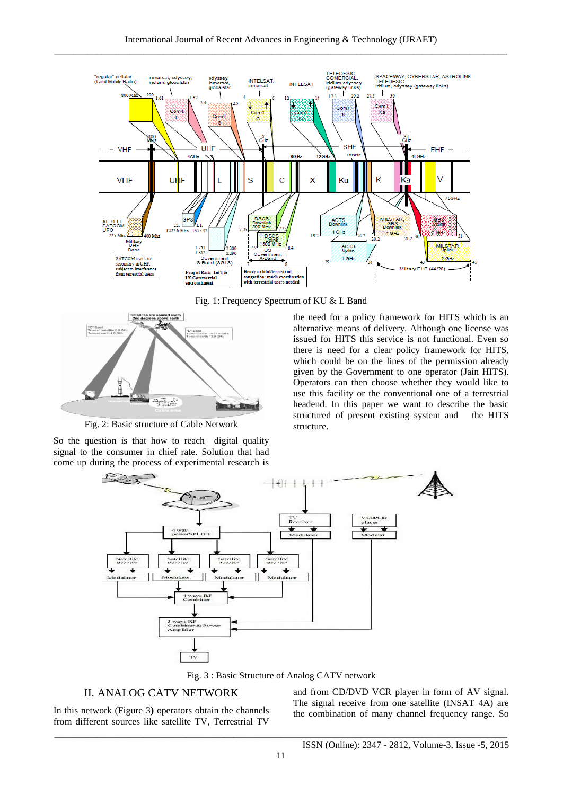

Fig. 1: Frequency Spectrum of KU & L Band



Fig. 2: Basic structure of Cable Network

So the question is that how to reach digital quality signal to the consumer in chief rate. Solution that had come up during the process of experimental research is the need for a policy framework for HITS which is an alternative means of delivery. Although one license was issued for HITS this service is not functional. Even so there is need for a clear policy framework for HITS, which could be on the lines of the permission already given by the Government to one operator (Jain HITS). Operators can then choose whether they would like to use this facility or the conventional one of a terrestrial headend. In this paper we want to describe the basic structured of present existing system and the HITS structure.



Fig. 3 : Basic Structure of Analog CATV network

# II. ANALOG CATV NETWORK

In this network (Figure 3**)** operators obtain the channels from different sources like satellite TV, Terrestrial TV and from CD/DVD VCR player in form of AV signal. The signal receive from one satellite (INSAT 4A) are the combination of many channel frequency range. So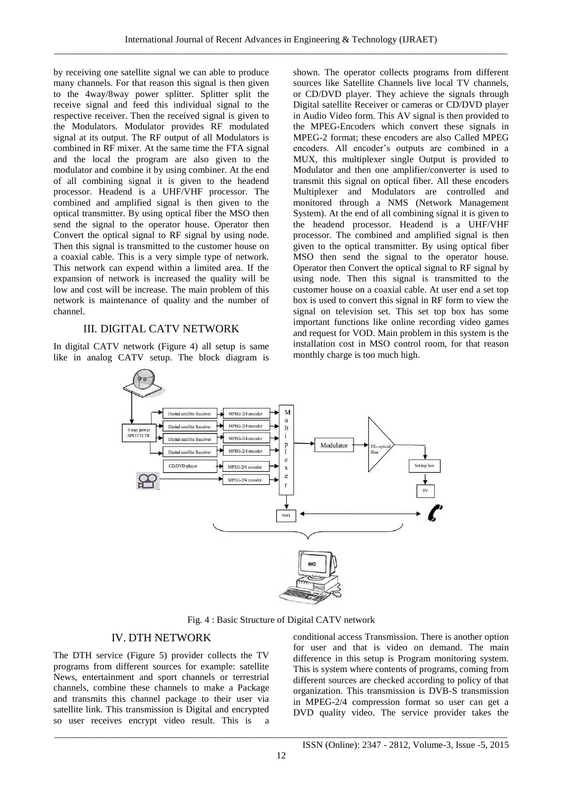by receiving one satellite signal we can able to produce many channels. For that reason this signal is then given to the 4way/8way power splitter. Splitter split the receive signal and feed this individual signal to the respective receiver. Then the received signal is given to the Modulators. Modulator provides RF modulated signal at its output. The RF output of all Modulators is combined in RF mixer. At the same time the FTA signal and the local the program are also given to the modulator and combine it by using combiner. At the end of all combining signal it is given to the headend processor. Headend is a UHF/VHF processor. The combined and amplified signal is then given to the optical transmitter. By using optical fiber the MSO then send the signal to the operator house. Operator then Convert the optical signal to RF signal by using node. Then this signal is transmitted to the customer house on a coaxial cable. This is a very simple type of network. This network can expend within a limited area. If the expansion of network is increased the quality will be low and cost will be increase. The main problem of this network is maintenance of quality and the number of channel.

#### III. DIGITAL CATV NETWORK

In digital CATV network (Figure 4) all setup is same like in analog CATV setup. The block diagram is shown. The operator collects programs from different sources like Satellite Channels live local TV channels, or CD/DVD player. They achieve the signals through Digital satellite Receiver or cameras or CD/DVD player in Audio Video form. This AV signal is then provided to the MPEG-Encoders which convert these signals in MPEG-2 format; these encoders are also Called MPEG encoders. All encoder's outputs are combined in a MUX, this multiplexer single Output is provided to Modulator and then one amplifier/converter is used to transmit this signal on optical fiber. All these encoders Multiplexer and Modulators are controlled and monitored through a NMS (Network Management System). At the end of all combining signal it is given to the headend processor. Headend is a UHF/VHF processor. The combined and amplified signal is then given to the optical transmitter. By using optical fiber MSO then send the signal to the operator house. Operator then Convert the optical signal to RF signal by using node. Then this signal is transmitted to the customer house on a coaxial cable. At user end a set top box is used to convert this signal in RF form to view the signal on television set. This set top box has some important functions like online recording video games and request for VOD. Main problem in this system is the installation cost in MSO control room, for that reason monthly charge is too much high.



Fig. 4 : Basic Structure of Digital CATV network

#### IV. DTH NETWORK

The DTH service (Figure 5) provider collects the TV programs from different sources for example: satellite News, entertainment and sport channels or terrestrial channels, combine these channels to make a Package and transmits this channel package to their user via satellite link. This transmission is Digital and encrypted so user receives encrypt video result. This is a conditional access Transmission. There is another option for user and that is video on demand. The main difference in this setup is Program monitoring system. This is system where contents of programs, coming from different sources are checked according to policy of that organization. This transmission is DVB-S transmission in MPEG-2/4 compression format so user can get a DVD quality video. The service provider takes the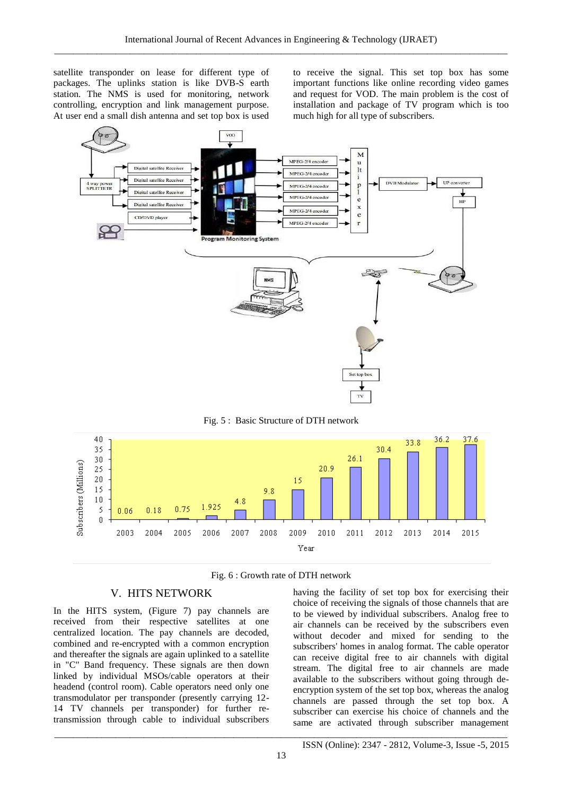satellite transponder on lease for different type of packages. The uplinks station is like DVB-S earth station. The NMS is used for monitoring, network controlling, encryption and link management purpose. At user end a small dish antenna and set top box is used to receive the signal. This set top box has some important functions like online recording video games and request for VOD. The main problem is the cost of installation and package of TV program which is too much high for all type of subscribers.



Fig. 5 : Basic Structure of DTH network



Fig. 6 : Growth rate of DTH network

#### V. HITS NETWORK

In the HITS system, (Figure 7) pay channels are received from their respective satellites at one centralized location. The pay channels are decoded, combined and re-encrypted with a common encryption and thereafter the signals are again uplinked to a satellite in "C" Band frequency. These signals are then down linked by individual MSOs/cable operators at their headend (control room). Cable operators need only one transmodulator per transponder (presently carrying 12- 14 TV channels per transponder) for further retransmission through cable to individual subscribers having the facility of set top box for exercising their choice of receiving the signals of those channels that are to be viewed by individual subscribers. Analog free to air channels can be received by the subscribers even without decoder and mixed for sending to the subscribers' homes in analog format. The cable operator can receive digital free to air channels with digital stream. The digital free to air channels are made available to the subscribers without going through deencryption system of the set top box, whereas the analog channels are passed through the set top box. A subscriber can exercise his choice of channels and the same are activated through subscriber management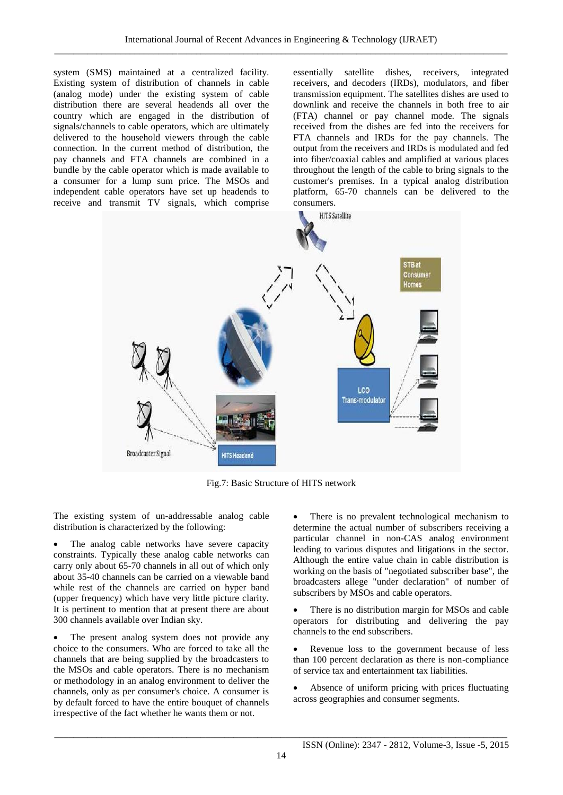system (SMS) maintained at a centralized facility. Existing system of distribution of channels in cable (analog mode) under the existing system of cable distribution there are several headends all over the country which are engaged in the distribution of signals/channels to cable operators, which are ultimately delivered to the household viewers through the cable connection. In the current method of distribution, the pay channels and FTA channels are combined in a bundle by the cable operator which is made available to a consumer for a lump sum price. The MSOs and independent cable operators have set up headends to receive and transmit TV signals, which comprise

essentially satellite dishes, receivers, integrated receivers, and decoders (IRDs), modulators, and fiber transmission equipment. The satellites dishes are used to downlink and receive the channels in both free to air (FTA) channel or pay channel mode. The signals received from the dishes are fed into the receivers for FTA channels and IRDs for the pay channels. The output from the receivers and IRDs is modulated and fed into fiber/coaxial cables and amplified at various places throughout the length of the cable to bring signals to the customer's premises. In a typical analog distribution platform, 65-70 channels can be delivered to the consumers.



Fig.7: Basic Structure of HITS network

The existing system of un-addressable analog cable distribution is characterized by the following:

 The analog cable networks have severe capacity constraints. Typically these analog cable networks can carry only about 65-70 channels in all out of which only about 35-40 channels can be carried on a viewable band while rest of the channels are carried on hyper band (upper frequency) which have very little picture clarity. It is pertinent to mention that at present there are about 300 channels available over Indian sky.

 The present analog system does not provide any choice to the consumers. Who are forced to take all the channels that are being supplied by the broadcasters to the MSOs and cable operators. There is no mechanism or methodology in an analog environment to deliver the channels, only as per consumer's choice. A consumer is by default forced to have the entire bouquet of channels irrespective of the fact whether he wants them or not.

 There is no prevalent technological mechanism to determine the actual number of subscribers receiving a particular channel in non-CAS analog environment leading to various disputes and litigations in the sector. Although the entire value chain in cable distribution is working on the basis of "negotiated subscriber base", the broadcasters allege "under declaration" of number of subscribers by MSOs and cable operators.

 There is no distribution margin for MSOs and cable operators for distributing and delivering the pay channels to the end subscribers.

 Revenue loss to the government because of less than 100 percent declaration as there is non-compliance of service tax and entertainment tax liabilities.

 Absence of uniform pricing with prices fluctuating across geographies and consumer segments.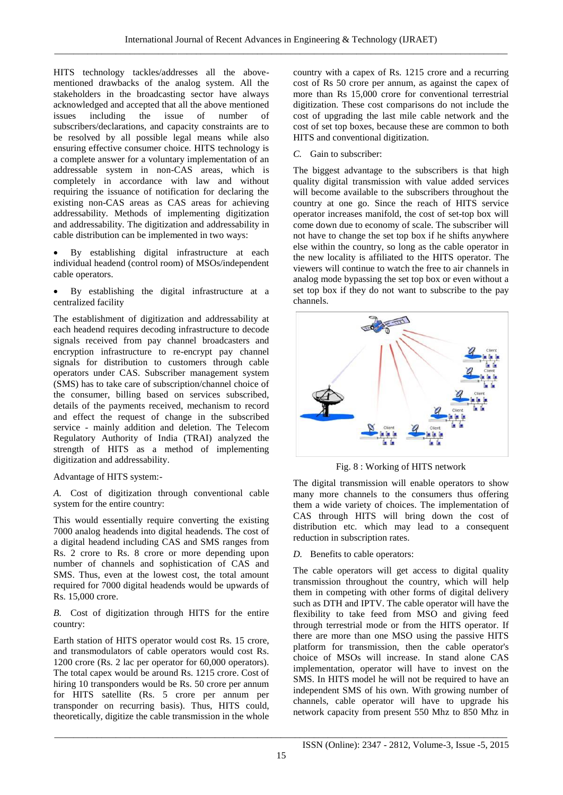HITS technology tackles/addresses all the abovementioned drawbacks of the analog system. All the stakeholders in the broadcasting sector have always acknowledged and accepted that all the above mentioned issues including the issue of number of subscribers/declarations, and capacity constraints are to be resolved by all possible legal means while also ensuring effective consumer choice. HITS technology is a complete answer for a voluntary implementation of an addressable system in non-CAS areas, which is completely in accordance with law and without requiring the issuance of notification for declaring the existing non-CAS areas as CAS areas for achieving addressability. Methods of implementing digitization and addressability. The digitization and addressability in cable distribution can be implemented in two ways:

- By establishing digital infrastructure at each individual headend (control room) of MSOs/independent cable operators.
- By establishing the digital infrastructure at a centralized facility

The establishment of digitization and addressability at each headend requires decoding infrastructure to decode signals received from pay channel broadcasters and encryption infrastructure to re-encrypt pay channel signals for distribution to customers through cable operators under CAS. Subscriber management system (SMS) has to take care of subscription/channel choice of the consumer, billing based on services subscribed, details of the payments received, mechanism to record and effect the request of change in the subscribed service - mainly addition and deletion. The Telecom Regulatory Authority of India (TRAI) analyzed the strength of HITS as a method of implementing digitization and addressability.

Advantage of HITS system:-

*A.* Cost of digitization through conventional cable system for the entire country:

This would essentially require converting the existing 7000 analog headends into digital headends. The cost of a digital headend including CAS and SMS ranges from Rs. 2 crore to Rs. 8 crore or more depending upon number of channels and sophistication of CAS and SMS. Thus, even at the lowest cost, the total amount required for 7000 digital headends would be upwards of Rs. 15,000 crore.

*B.* Cost of digitization through HITS for the entire country:

Earth station of HITS operator would cost Rs. 15 crore, and transmodulators of cable operators would cost Rs. 1200 crore (Rs. 2 lac per operator for 60,000 operators). The total capex would be around Rs. 1215 crore. Cost of hiring 10 transponders would be Rs. 50 crore per annum for HITS satellite (Rs. 5 crore per annum per transponder on recurring basis). Thus, HITS could, theoretically, digitize the cable transmission in the whole

country with a capex of Rs. 1215 crore and a recurring cost of Rs 50 crore per annum, as against the capex of more than Rs 15,000 crore for conventional terrestrial digitization. These cost comparisons do not include the cost of upgrading the last mile cable network and the cost of set top boxes, because these are common to both HITS and conventional digitization.

# *C.* Gain to subscriber:

The biggest advantage to the subscribers is that high quality digital transmission with value added services will become available to the subscribers throughout the country at one go. Since the reach of HITS service operator increases manifold, the cost of set-top box will come down due to economy of scale. The subscriber will not have to change the set top box if he shifts anywhere else within the country, so long as the cable operator in the new locality is affiliated to the HITS operator. The viewers will continue to watch the free to air channels in analog mode bypassing the set top box or even without a set top box if they do not want to subscribe to the pay channels.



Fig. 8 : Working of HITS network

The digital transmission will enable operators to show many more channels to the consumers thus offering them a wide variety of choices. The implementation of CAS through HITS will bring down the cost of distribution etc. which may lead to a consequent reduction in subscription rates.

# *D.* Benefits to cable operators:

The cable operators will get access to digital quality transmission throughout the country, which will help them in competing with other forms of digital delivery such as DTH and IPTV. The cable operator will have the flexibility to take feed from MSO and giving feed through terrestrial mode or from the HITS operator. If there are more than one MSO using the passive HITS platform for transmission, then the cable operator's choice of MSOs will increase. In stand alone CAS implementation, operator will have to invest on the SMS. In HITS model he will not be required to have an independent SMS of his own. With growing number of channels, cable operator will have to upgrade his network capacity from present 550 Mhz to 850 Mhz in